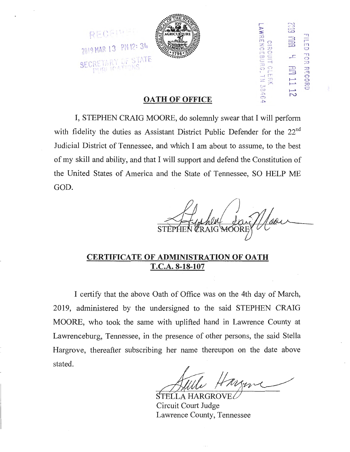



**OATH OF OFFICE** 

I, STEPHEN CRAIG MOORE, do solemnly swear that I will perform with fidelity the duties as Assistant District Public Defender for the 22<sup>nd</sup> Judicial District of Tennessee, and which I am about to assume, to the best of my skill and ability, and that I will support and defend the Constitution of the United States of America and the State of Tennessee, SO HELP ME GOD.

**CRAIG** 

SON THR REVIOS<br>CIRO<br>L**AW**RENCE

- r, - <u>l p</u> .,  $\frac{1}{\alpha}$ 

RECORD

H"J C"<br>C"J C"

**P 3** FRK<br>- ERK<br>- ERK

 $72^{\frac{1}{2}}$ 

## **CERTIFICATE OF ADMINISTRATION OF OATH T.C.A. 8-18-107**

I certify that the above Oath of Office was on the 4th day of March, 2019, administered by the undersigned to the said STEPHEN CRAIG MOORE, who took the same with uplifted hand in Lawrence County at Lawrenceburg, Tennessee, in the presence of other persons, the said Stella Hargrove, thereafter subscribing her name thereupon on the date above stated.

STELLA HARGROVE Circuit Court Judge Lawrence County, Tennessee